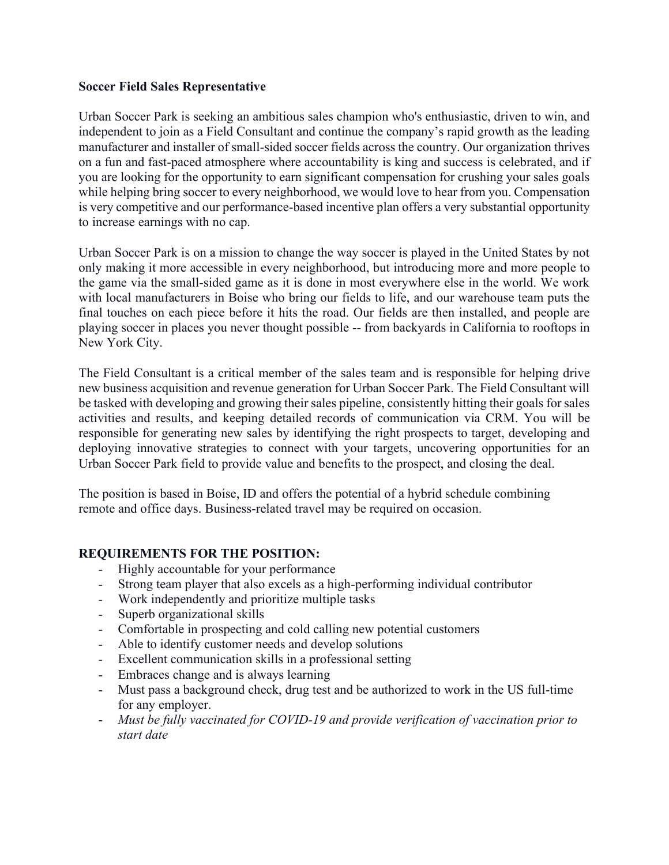### **Soccer Field Sales Representative**

Urban Soccer Park is seeking an ambitious sales champion who's enthusiastic, driven to win, and independent to join as a Field Consultant and continue the company's rapid growth as the leading manufacturer and installer of small-sided soccer fields across the country. Our organization thrives on a fun and fast-paced atmosphere where accountability is king and success is celebrated, and if you are looking for the opportunity to earn significant compensation for crushing your sales goals while helping bring soccer to every neighborhood, we would love to hear from you. Compensation is very competitive and our performance-based incentive plan offers a very substantial opportunity to increase earnings with no cap.

Urban Soccer Park is on a mission to change the way soccer is played in the United States by not only making it more accessible in every neighborhood, but introducing more and more people to the game via the small-sided game as it is done in most everywhere else in the world. We work with local manufacturers in Boise who bring our fields to life, and our warehouse team puts the final touches on each piece before it hits the road. Our fields are then installed, and people are playing soccer in places you never thought possible -- from backyards in California to rooftops in New York City.

The Field Consultant is a critical member of the sales team and is responsible for helping drive new business acquisition and revenue generation for Urban Soccer Park. The Field Consultant will be tasked with developing and growing their sales pipeline, consistently hitting their goals for sales activities and results, and keeping detailed records of communication via CRM. You will be responsible for generating new sales by identifying the right prospects to target, developing and deploying innovative strategies to connect with your targets, uncovering opportunities for an Urban Soccer Park field to provide value and benefits to the prospect, and closing the deal.

The position is based in Boise, ID and offers the potential of a hybrid schedule combining remote and office days. Business-related travel may be required on occasion.

## **REQUIREMENTS FOR THE POSITION:**

- Highly accountable for your performance
- Strong team player that also excels as a high-performing individual contributor
- Work independently and prioritize multiple tasks
- Superb organizational skills
- Comfortable in prospecting and cold calling new potential customers
- Able to identify customer needs and develop solutions
- Excellent communication skills in a professional setting
- Embraces change and is always learning
- Must pass a background check, drug test and be authorized to work in the US full-time for any employer.
- *Must be fully vaccinated for COVID-19 and provide verification of vaccination prior to start date*